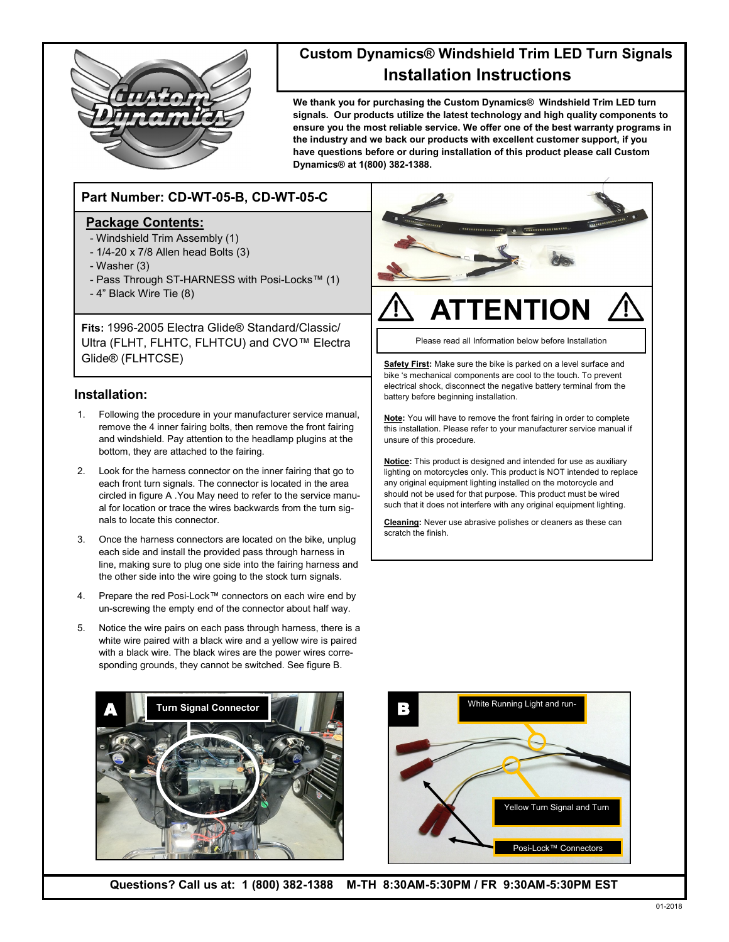

# **Custom Dynamics® Windshield Trim LED Turn Signals Installation Instructions**

**We thank you for purchasing the Custom Dynamics® Windshield Trim LED turn signals. Our products utilize the latest technology and high quality components to ensure you the most reliable service. We offer one of the best warranty programs in the industry and we back our products with excellent customer support, if you have questions before or during installation of this product please call Custom Dynamics® at 1(800) 382-1388.**

## **Part Number: CD-WT-05-B, CD-WT-05-C**

#### **Package Contents:**

- Windshield Trim Assembly (1)
- 1/4-20 x 7/8 Allen head Bolts (3)
- Washer (3)
- Pass Through ST-HARNESS with Posi-Locks™ (1)
- 4" Black Wire Tie (8)

**Fits:** 1996-2005 Electra Glide® Standard/Classic/ Ultra (FLHT, FLHTC, FLHTCU) and CVO™ Electra Glide® (FLHTCSE)

#### **Installation:**

- 1. Following the procedure in your manufacturer service manual, remove the 4 inner fairing bolts, then remove the front fairing and windshield. Pay attention to the headlamp plugins at the bottom, they are attached to the fairing.
- 2. Look for the harness connector on the inner fairing that go to each front turn signals. The connector is located in the area circled in figure A .You May need to refer to the service manual for location or trace the wires backwards from the turn signals to locate this connector.
- 3. Once the harness connectors are located on the bike, unplug each side and install the provided pass through harness in line, making sure to plug one side into the fairing harness and the other side into the wire going to the stock turn signals.
- 4. Prepare the red Posi-Lock™ connectors on each wire end by un-screwing the empty end of the connector about half way.
- 5. Notice the wire pairs on each pass through harness, there is a white wire paired with a black wire and a yellow wire is paired with a black wire. The black wires are the power wires corresponding grounds, they cannot be switched. See figure B.



# **ATTENTION**

Please read all Information below before Installation

**Safety First:** Make sure the bike is parked on a level surface and bike 's mechanical components are cool to the touch. To prevent electrical shock, disconnect the negative battery terminal from the battery before beginning installation.

**Note:** You will have to remove the front fairing in order to complete this installation. Please refer to your manufacturer service manual if unsure of this procedure.

**Notice:** This product is designed and intended for use as auxiliary lighting on motorcycles only. This product is NOT intended to replace any original equipment lighting installed on the motorcycle and should not be used for that purpose. This product must be wired such that it does not interfere with any original equipment lighting.

**Cleaning:** Never use abrasive polishes or cleaners as these can scratch the finish.





**Questions? Call us at: 1 (800) 382-1388 M-TH 8:30AM-5:30PM / FR 9:30AM-5:30PM EST**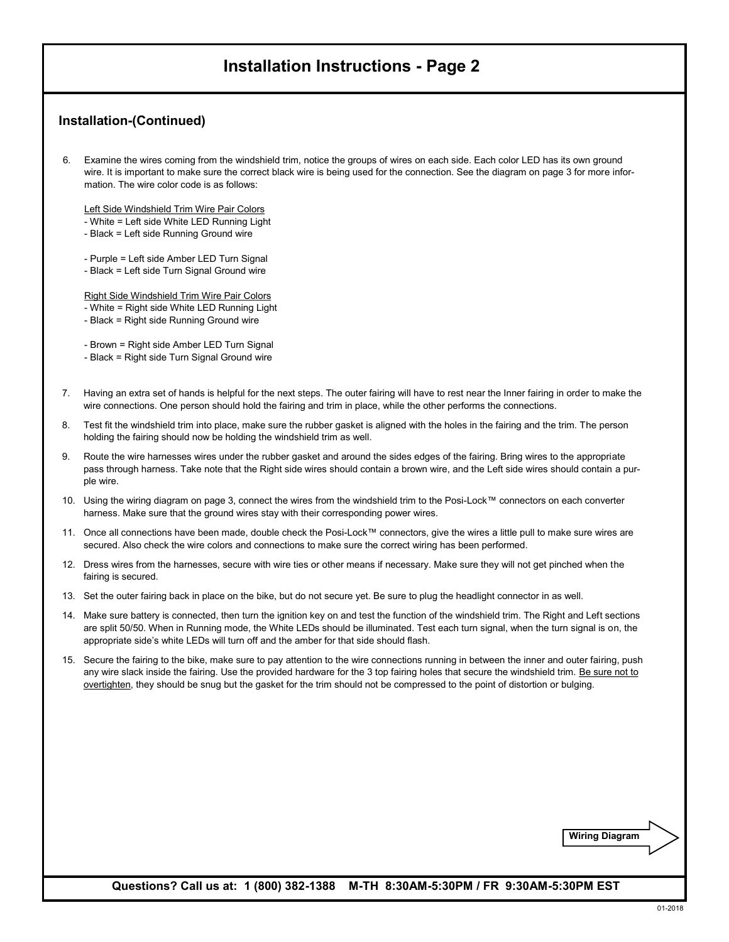## **Installation Instructions - Page 2**

### **Installation-(Continued)**

6. Examine the wires coming from the windshield trim, notice the groups of wires on each side. Each color LED has its own ground wire. It is important to make sure the correct black wire is being used for the connection. See the diagram on page 3 for more information. The wire color code is as follows:

Left Side Windshield Trim Wire Pair Colors

- White = Left side White LED Running Light
- Black = Left side Running Ground wire
- Purple = Left side Amber LED Turn Signal
- Black = Left side Turn Signal Ground wire

Right Side Windshield Trim Wire Pair Colors

- White = Right side White LED Running Light
- Black = Right side Running Ground wire

- Brown = Right side Amber LED Turn Signal

- Black = Right side Turn Signal Ground wire
- 7. Having an extra set of hands is helpful for the next steps. The outer fairing will have to rest near the Inner fairing in order to make the wire connections. One person should hold the fairing and trim in place, while the other performs the connections.
- 8. Test fit the windshield trim into place, make sure the rubber gasket is aligned with the holes in the fairing and the trim. The person holding the fairing should now be holding the windshield trim as well.
- 9. Route the wire harnesses wires under the rubber gasket and around the sides edges of the fairing. Bring wires to the appropriate pass through harness. Take note that the Right side wires should contain a brown wire, and the Left side wires should contain a purple wire.
- 10. Using the wiring diagram on page 3, connect the wires from the windshield trim to the Posi-Lock™ connectors on each converter harness. Make sure that the ground wires stay with their corresponding power wires.
- 11. Once all connections have been made, double check the Posi-Lock™ connectors, give the wires a little pull to make sure wires are secured. Also check the wire colors and connections to make sure the correct wiring has been performed.
- 12. Dress wires from the harnesses, secure with wire ties or other means if necessary. Make sure they will not get pinched when the fairing is secured.
- 13. Set the outer fairing back in place on the bike, but do not secure yet. Be sure to plug the headlight connector in as well.
- 14. Make sure battery is connected, then turn the ignition key on and test the function of the windshield trim. The Right and Left sections are split 50/50. When in Running mode, the White LEDs should be illuminated. Test each turn signal, when the turn signal is on, the appropriate side's white LEDs will turn off and the amber for that side should flash.
- 15. Secure the fairing to the bike, make sure to pay attention to the wire connections running in between the inner and outer fairing, push any wire slack inside the fairing. Use the provided hardware for the 3 top fairing holes that secure the windshield trim. Be sure not to overtighten, they should be snug but the gasket for the trim should not be compressed to the point of distortion or bulging.

**Wiring Diagram**

**Questions? Call us at: 1 (800) 382-1388 M-TH 8:30AM-5:30PM / FR 9:30AM-5:30PM EST**